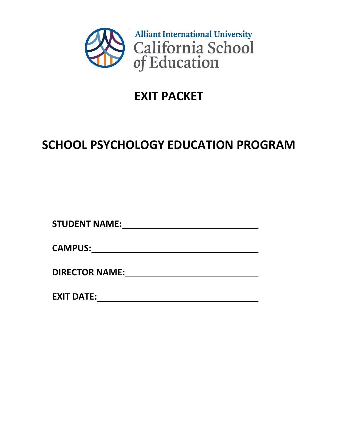

## **EXIT PACKET**

# **SCHOOL PSYCHOLOGY EDUCATION PROGRAM**

**STUDENT NAME:**

**CAMPUS:**

**DIRECTOR NAME:**

**EXIT DATE:**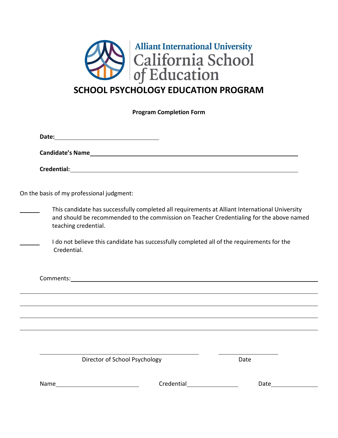

| <b>Program Completion Form</b>            |                                                                                                                                                                                            |  |  |  |
|-------------------------------------------|--------------------------------------------------------------------------------------------------------------------------------------------------------------------------------------------|--|--|--|
|                                           |                                                                                                                                                                                            |  |  |  |
|                                           |                                                                                                                                                                                            |  |  |  |
|                                           |                                                                                                                                                                                            |  |  |  |
| On the basis of my professional judgment: |                                                                                                                                                                                            |  |  |  |
| teaching credential.                      | This candidate has successfully completed all requirements at Alliant International University<br>and should be recommended to the commission on Teacher Credentialing for the above named |  |  |  |
| Credential.                               | I do not believe this candidate has successfully completed all of the requirements for the                                                                                                 |  |  |  |
|                                           |                                                                                                                                                                                            |  |  |  |
|                                           |                                                                                                                                                                                            |  |  |  |
|                                           |                                                                                                                                                                                            |  |  |  |
|                                           |                                                                                                                                                                                            |  |  |  |
|                                           |                                                                                                                                                                                            |  |  |  |
| Director of School Psychology             | Date                                                                                                                                                                                       |  |  |  |

Name Credential Credential Date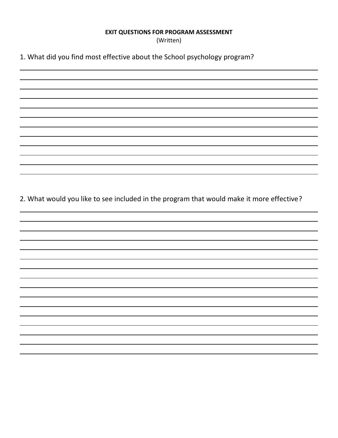#### **EXIT QUESTIONS FOR PROGRAM ASSESSMENT**

(Written)

1. What did you find most effective about the School psychology program?

2. What would you like to see included in the program that would make it more effective?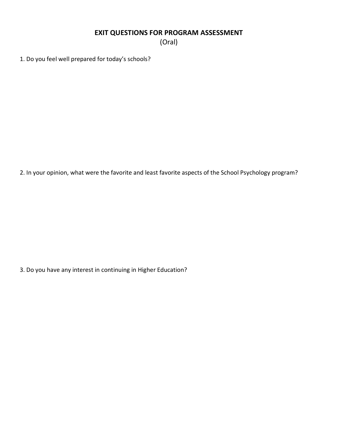## **EXIT QUESTIONS FOR PROGRAM ASSESSMENT**

(Oral)

1. Do you feel well prepared for today's schools?

2. In your opinion, what were the favorite and least favorite aspects of the School Psychology program?

3. Do you have any interest in continuing in Higher Education?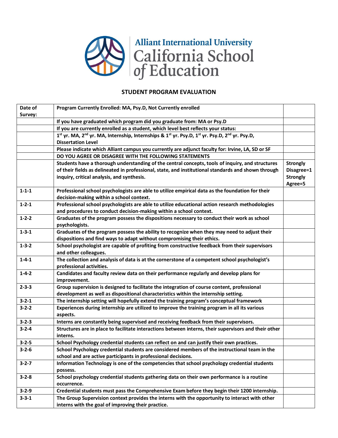

### **STUDENT PROGRAM EVALUATION**

| Date of     | Program Currently Enrolled: MA, Psy.D, Not Currently enrolled                                                                      |                 |
|-------------|------------------------------------------------------------------------------------------------------------------------------------|-----------------|
| Survey:     |                                                                                                                                    |                 |
|             | If you have graduated which program did you graduate from: MA or Psy.D                                                             |                 |
|             | If you are currently enrolled as a student, which level best reflects your status:                                                 |                 |
|             | 1st yr. MA, 2 <sup>nd</sup> yr. MA, Internship, Internships & 1 <sup>st</sup> yr. Psy.D, 1st yr. Psy.D, 2 <sup>nd</sup> yr. Psy.D, |                 |
|             | <b>Dissertation Level</b>                                                                                                          |                 |
|             | Please indicate which Alliant campus you currently are adjunct faculty for: Irvine, LA, SD or SF                                   |                 |
|             | DO YOU AGREE OR DISAGREE WITH THE FOLLOWING STATEMENTS                                                                             |                 |
|             | Students have a thorough understanding of the central concepts, tools of inquiry, and structures                                   | <b>Strongly</b> |
|             | of their fields as delineated in professional, state, and institutional standards and shown through                                | Disagree=1      |
|             | inquiry, critical analysis, and synthesis.                                                                                         | <b>Strongly</b> |
|             |                                                                                                                                    | Agree=5         |
| $1 - 1 - 1$ | Professional school psychologists are able to utilize empirical data as the foundation for their                                   |                 |
|             | decision-making within a school context.                                                                                           |                 |
| $1 - 2 - 1$ | Professional school psychologists are able to utilize educational action research methodologies                                    |                 |
|             | and procedures to conduct decision-making within a school context.                                                                 |                 |
| $1 - 2 - 2$ | Graduates of the program possess the dispositions necessary to conduct their work as school                                        |                 |
|             | psychologists.                                                                                                                     |                 |
| $1 - 3 - 1$ | Graduates of the program possess the ability to recognize when they may need to adjust their                                       |                 |
|             | dispositions and find ways to adapt without compromising their ethics.                                                             |                 |
| $1 - 3 - 2$ | School psychologist are capable of profiting from constructive feedback from their supervisors                                     |                 |
|             | and other colleagues.                                                                                                              |                 |
| $1 - 4 - 1$ | The collection and analysis of data is at the cornerstone of a competent school psychologist's                                     |                 |
|             | professional activities.                                                                                                           |                 |
| $1 - 4 - 2$ | Candidates and faculty review data on their performance regularly and develop plans for                                            |                 |
|             | improvement.                                                                                                                       |                 |
| $2 - 3 - 3$ | Group supervision is designed to facilitate the integration of course content, professional                                        |                 |
|             | development as well as dispositional characteristics within the internship setting.                                                |                 |
| $3 - 2 - 1$ | The internship setting will hopefully extend the training program's conceptual framework                                           |                 |
| $3 - 2 - 2$ | Experiences during internship are utilized to improve the training program in all its various                                      |                 |
|             | aspects.                                                                                                                           |                 |
| $3 - 2 - 3$ | Interns are constantly being supervised and receiving feedback from their supervisors.                                             |                 |
| $3 - 2 - 4$ | Structures are in place to facilitate interactions between interns, their supervisors and their other                              |                 |
|             | interns.                                                                                                                           |                 |
| $3 - 2 - 5$ | School Psychology credential students can reflect on and can justify their own practices.                                          |                 |
| $3 - 2 - 6$ | School Psychology credential students are considered members of the instructional team in the                                      |                 |
|             | school and are active participants in professional decisions.                                                                      |                 |
| $3 - 2 - 7$ | Information Technology is one of the competencies that school psychology credential students                                       |                 |
|             | possess.                                                                                                                           |                 |
| $3 - 2 - 8$ | School psychology credential students gathering data on their own performance is a routine                                         |                 |
|             | occurrence.                                                                                                                        |                 |
| $3 - 2 - 9$ | Credential students must pass the Comprehensive Exam before they begin their 1200 internship.                                      |                 |
| $3 - 3 - 1$ | The Group Supervision context provides the interns with the opportunity to interact with other                                     |                 |
|             | interns with the goal of improving their practice.                                                                                 |                 |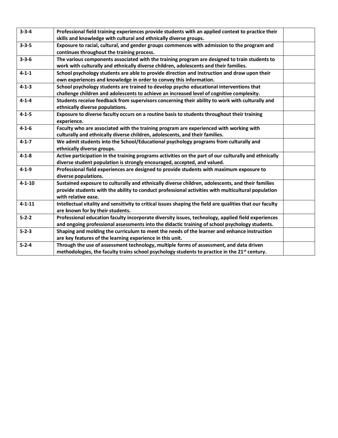| $3 - 3 - 4$  | Professional field training experiences provide students with an applied context to practice their        |  |
|--------------|-----------------------------------------------------------------------------------------------------------|--|
|              | skills and knowledge with cultural and ethnically diverse groups.                                         |  |
| $3 - 3 - 5$  | Exposure to racial, cultural, and gender groups commences with admission to the program and               |  |
|              | continues throughout the training process.                                                                |  |
| $3 - 3 - 6$  | The various components associated with the training program are designed to train students to             |  |
|              | work with culturally and ethnically diverse children, adolescents and their families.                     |  |
| $4 - 1 - 1$  | School psychology students are able to provide direction and instruction and draw upon their              |  |
|              | own experiences and knowledge in order to convey this information.                                        |  |
| $4 - 1 - 3$  | School psychology students are trained to develop psycho educational interventions that                   |  |
|              | challenge children and adolescents to achieve an increased level of cognitive complexity.                 |  |
| $4 - 1 - 4$  | Students receive feedback from supervisors concerning their ability to work with culturally and           |  |
|              | ethnically diverse populations.                                                                           |  |
| $4 - 1 - 5$  | Exposure to diverse faculty occurs on a routine basis to students throughout their training               |  |
|              | experience.                                                                                               |  |
| $4 - 1 - 6$  | Faculty who are associated with the training program are experienced with working with                    |  |
|              | culturally and ethnically diverse children, adolescents, and their families.                              |  |
| $4 - 1 - 7$  | We admit students into the School/Educational psychology programs from culturally and                     |  |
|              | ethnically diverse groups.                                                                                |  |
| $4 - 1 - 8$  | Active participation in the training programs activities on the part of our culturally and ethnically     |  |
|              | diverse student population is strongly encouraged, accepted, and valued.                                  |  |
| $4 - 1 - 9$  | Professional field experiences are designed to provide students with maximum exposure to                  |  |
|              | diverse populations.                                                                                      |  |
| $4 - 1 - 10$ | Sustained exposure to culturally and ethnically diverse children, adolescents, and their families         |  |
|              | provide students with the ability to conduct professional activities with multicultural population        |  |
|              | with relative ease.                                                                                       |  |
| $4 - 1 - 11$ | Intellectual vitality and sensitivity to critical issues shaping the field are qualities that our faculty |  |
|              | are known for by their students.                                                                          |  |
| $5 - 2 - 2$  | Professional education faculty incorporate diversity issues, technology, applied field experiences        |  |
|              | and ongoing professional assessments into the didactic training of school psychology students.            |  |
| $5 - 2 - 3$  | Shaping and molding the curriculum to meet the needs of the learner and enhance instruction               |  |
|              | are key features of the learning experience in this unit.                                                 |  |
| $5 - 2 - 4$  | Through the use of assessment technology, multiple forms of assessment, and data driven                   |  |
|              | methodologies, the faculty trains school psychology students to practice in the 21 <sup>st</sup> century. |  |